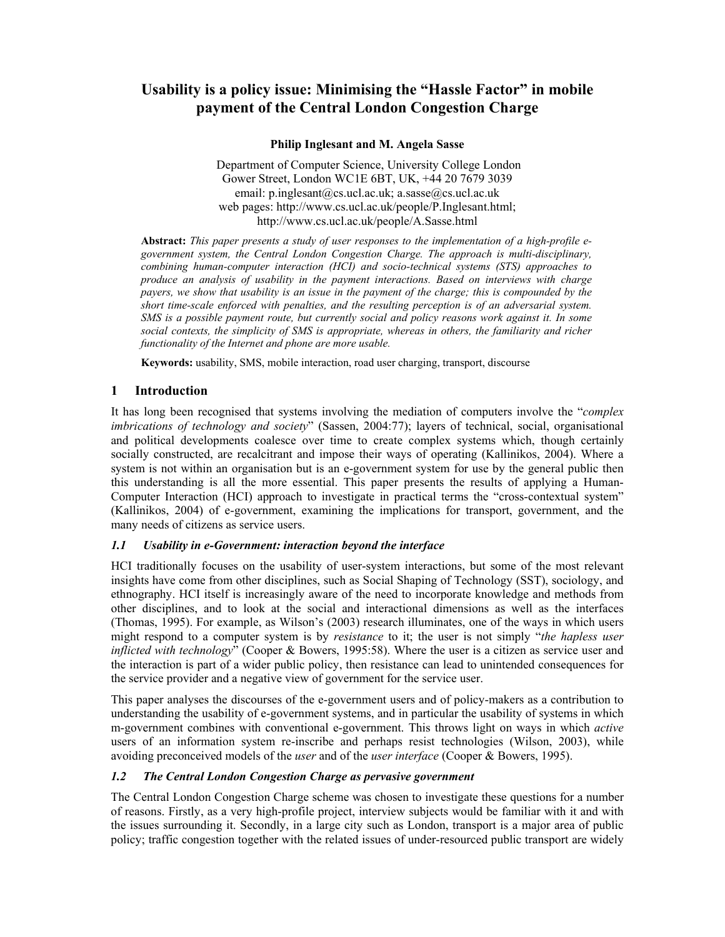# **Usability is a policy issue: Minimising the "Hassle Factor" in mobile payment of the Central London Congestion Charge**

**Philip Inglesant and M. Angela Sasse** 

 Department of Computer Science, University College London Gower Street, London WC1E 6BT, UK, +44 20 7679 3039 email: p.inglesant@cs.ucl.ac.uk; a.sasse@cs.ucl.ac.uk web pages: http://www.cs.ucl.ac.uk/people/P.Inglesant.html; http://www.cs.ucl.ac.uk/people/A.Sasse.html

**Abstract:** *This paper presents a study of user responses to the implementation of a high-profile egovernment system, the Central London Congestion Charge. The approach is multi-disciplinary, combining human-computer interaction (HCI) and socio-technical systems (STS) approaches to produce an analysis of usability in the payment interactions. Based on interviews with charge payers, we show that usability is an issue in the payment of the charge; this is compounded by the short time-scale enforced with penalties, and the resulting perception is of an adversarial system. SMS is a possible payment route, but currently social and policy reasons work against it. In some social contexts, the simplicity of SMS is appropriate, whereas in others, the familiarity and richer functionality of the Internet and phone are more usable.* 

**Keywords:** usability, SMS, mobile interaction, road user charging, transport, discourse

# **1 Introduction**

It has long been recognised that systems involving the mediation of computers involve the "*complex imbrications of technology and society*" (Sassen, 2004:77); layers of technical, social, organisational and political developments coalesce over time to create complex systems which, though certainly socially constructed, are recalcitrant and impose their ways of operating (Kallinikos, 2004). Where a system is not within an organisation but is an e-government system for use by the general public then this understanding is all the more essential. This paper presents the results of applying a Human-Computer Interaction (HCI) approach to investigate in practical terms the "cross-contextual system" (Kallinikos, 2004) of e-government, examining the implications for transport, government, and the many needs of citizens as service users.

# *1.1 Usability in e-Government: interaction beyond the interface*

HCI traditionally focuses on the usability of user-system interactions, but some of the most relevant insights have come from other disciplines, such as Social Shaping of Technology (SST), sociology, and ethnography. HCI itself is increasingly aware of the need to incorporate knowledge and methods from other disciplines, and to look at the social and interactional dimensions as well as the interfaces (Thomas, 1995). For example, as Wilson's (2003) research illuminates, one of the ways in which users might respond to a computer system is by *resistance* to it; the user is not simply "*the hapless user inflicted with technology*" (Cooper & Bowers, 1995:58). Where the user is a citizen as service user and the interaction is part of a wider public policy, then resistance can lead to unintended consequences for the service provider and a negative view of government for the service user.

This paper analyses the discourses of the e-government users and of policy-makers as a contribution to understanding the usability of e-government systems, and in particular the usability of systems in which m-government combines with conventional e-government. This throws light on ways in which *active* users of an information system re-inscribe and perhaps resist technologies (Wilson, 2003), while avoiding preconceived models of the *user* and of the *user interface* (Cooper & Bowers, 1995).

# *1.2 The Central London Congestion Charge as pervasive government*

The Central London Congestion Charge scheme was chosen to investigate these questions for a number of reasons. Firstly, as a very high-profile project, interview subjects would be familiar with it and with the issues surrounding it. Secondly, in a large city such as London, transport is a major area of public policy; traffic congestion together with the related issues of under-resourced public transport are widely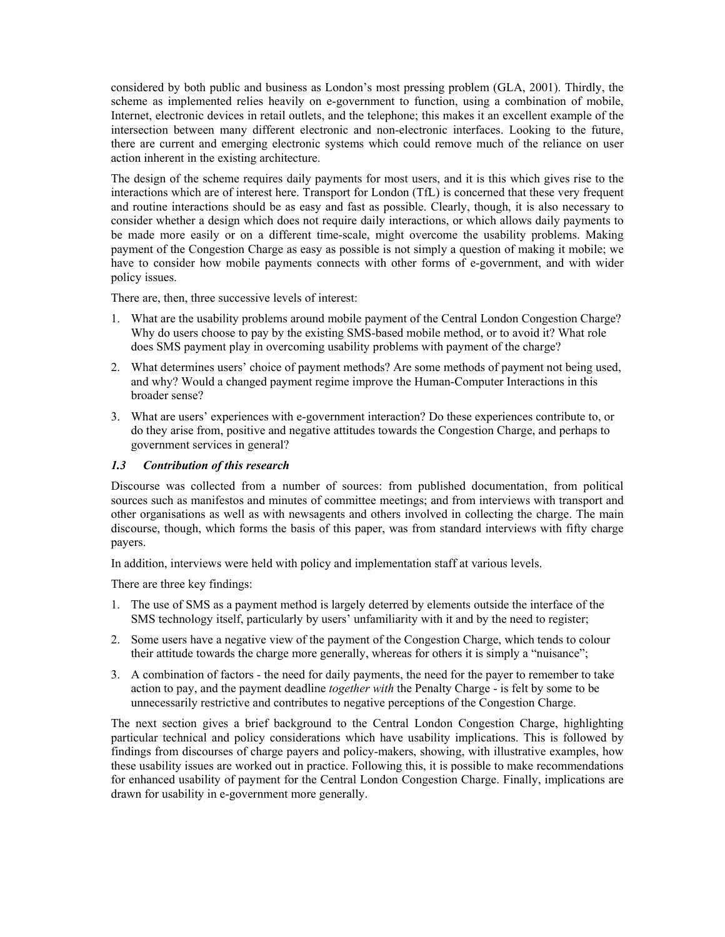considered by both public and business as London's most pressing problem (GLA, 2001). Thirdly, the scheme as implemented relies heavily on e-government to function, using a combination of mobile, Internet, electronic devices in retail outlets, and the telephone; this makes it an excellent example of the intersection between many different electronic and non-electronic interfaces. Looking to the future, there are current and emerging electronic systems which could remove much of the reliance on user action inherent in the existing architecture.

The design of the scheme requires daily payments for most users, and it is this which gives rise to the interactions which are of interest here. Transport for London (TfL) is concerned that these very frequent and routine interactions should be as easy and fast as possible. Clearly, though, it is also necessary to consider whether a design which does not require daily interactions, or which allows daily payments to be made more easily or on a different time-scale, might overcome the usability problems. Making payment of the Congestion Charge as easy as possible is not simply a question of making it mobile; we have to consider how mobile payments connects with other forms of e-government, and with wider policy issues.

There are, then, three successive levels of interest:

- 1. What are the usability problems around mobile payment of the Central London Congestion Charge? Why do users choose to pay by the existing SMS-based mobile method, or to avoid it? What role does SMS payment play in overcoming usability problems with payment of the charge?
- 2. What determines users' choice of payment methods? Are some methods of payment not being used, and why? Would a changed payment regime improve the Human-Computer Interactions in this broader sense?
- 3. What are users' experiences with e-government interaction? Do these experiences contribute to, or do they arise from, positive and negative attitudes towards the Congestion Charge, and perhaps to government services in general?

#### *1.3 Contribution of this research*

Discourse was collected from a number of sources: from published documentation, from political sources such as manifestos and minutes of committee meetings; and from interviews with transport and other organisations as well as with newsagents and others involved in collecting the charge. The main discourse, though, which forms the basis of this paper, was from standard interviews with fifty charge payers.

In addition, interviews were held with policy and implementation staff at various levels.

There are three key findings:

- 1. The use of SMS as a payment method is largely deterred by elements outside the interface of the SMS technology itself, particularly by users' unfamiliarity with it and by the need to register;
- 2. Some users have a negative view of the payment of the Congestion Charge, which tends to colour their attitude towards the charge more generally, whereas for others it is simply a "nuisance";
- 3. A combination of factors the need for daily payments, the need for the payer to remember to take action to pay, and the payment deadline *together with* the Penalty Charge - is felt by some to be unnecessarily restrictive and contributes to negative perceptions of the Congestion Charge.

The next section gives a brief background to the Central London Congestion Charge, highlighting particular technical and policy considerations which have usability implications. This is followed by findings from discourses of charge payers and policy-makers, showing, with illustrative examples, how these usability issues are worked out in practice. Following this, it is possible to make recommendations for enhanced usability of payment for the Central London Congestion Charge. Finally, implications are drawn for usability in e-government more generally.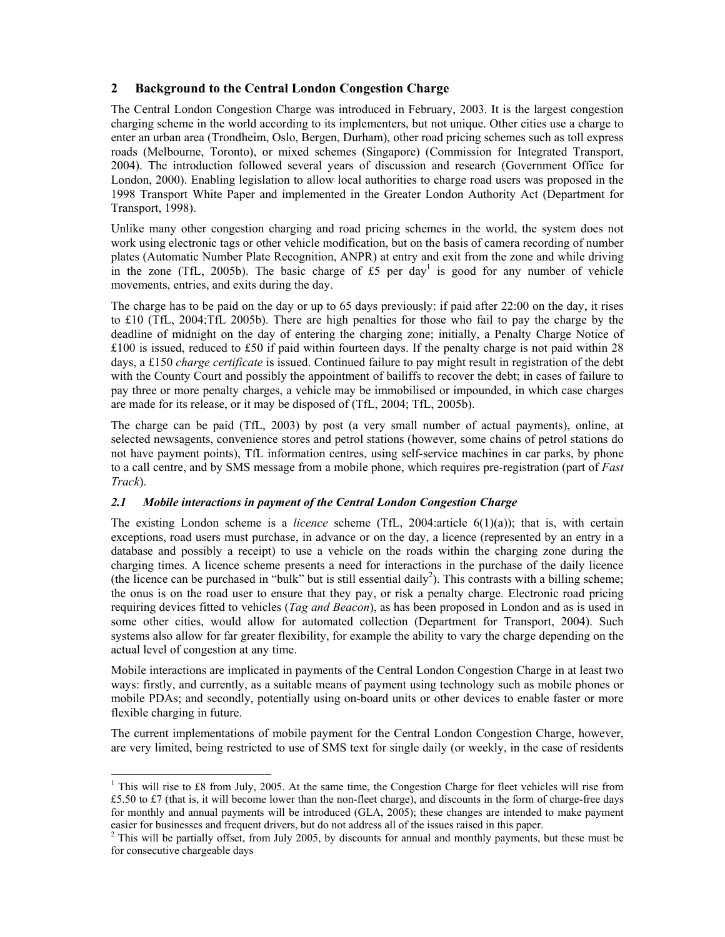# **2 Background to the Central London Congestion Charge**

The Central London Congestion Charge was introduced in February, 2003. It is the largest congestion charging scheme in the world according to its implementers, but not unique. Other cities use a charge to enter an urban area (Trondheim, Oslo, Bergen, Durham), other road pricing schemes such as toll express roads (Melbourne, Toronto), or mixed schemes (Singapore) (Commission for Integrated Transport, 2004). The introduction followed several years of discussion and research (Government Office for London, 2000). Enabling legislation to allow local authorities to charge road users was proposed in the 1998 Transport White Paper and implemented in the Greater London Authority Act (Department for Transport, 1998).

Unlike many other congestion charging and road pricing schemes in the world, the system does not work using electronic tags or other vehicle modification, but on the basis of camera recording of number plates (Automatic Number Plate Recognition, ANPR) at entry and exit from the zone and while driving in the zone (TfL, 2005b). The basic charge of  $£5$  per day<sup>1</sup> is good for any number of vehicle movements, entries, and exits during the day.

The charge has to be paid on the day or up to 65 days previously: if paid after 22:00 on the day, it rises to £10 (TfL, 2004;TfL 2005b). There are high penalties for those who fail to pay the charge by the deadline of midnight on the day of entering the charging zone; initially, a Penalty Charge Notice of £100 is issued, reduced to £50 if paid within fourteen days. If the penalty charge is not paid within 28 days, a £150 *charge certificate* is issued. Continued failure to pay might result in registration of the debt with the County Court and possibly the appointment of bailiffs to recover the debt; in cases of failure to pay three or more penalty charges, a vehicle may be immobilised or impounded, in which case charges are made for its release, or it may be disposed of (TfL, 2004; TfL, 2005b).

The charge can be paid (TfL, 2003) by post (a very small number of actual payments), online, at selected newsagents, convenience stores and petrol stations (however, some chains of petrol stations do not have payment points), TfL information centres, using self-service machines in car parks, by phone to a call centre, and by SMS message from a mobile phone, which requires pre-registration (part of *Fast Track*).

# *2.1 Mobile interactions in payment of the Central London Congestion Charge*

-

The existing London scheme is a *licence* scheme (TfL, 2004:article 6(1)(a)); that is, with certain exceptions, road users must purchase, in advance or on the day, a licence (represented by an entry in a database and possibly a receipt) to use a vehicle on the roads within the charging zone during the charging times. A licence scheme presents a need for interactions in the purchase of the daily licence (the licence can be purchased in "bulk" but is still essential daily<sup>2</sup>). This contrasts with a billing scheme; the onus is on the road user to ensure that they pay, or risk a penalty charge. Electronic road pricing requiring devices fitted to vehicles (*Tag and Beacon*), as has been proposed in London and as is used in some other cities, would allow for automated collection (Department for Transport, 2004). Such systems also allow for far greater flexibility, for example the ability to vary the charge depending on the actual level of congestion at any time.

Mobile interactions are implicated in payments of the Central London Congestion Charge in at least two ways: firstly, and currently, as a suitable means of payment using technology such as mobile phones or mobile PDAs; and secondly, potentially using on-board units or other devices to enable faster or more flexible charging in future.

The current implementations of mobile payment for the Central London Congestion Charge, however, are very limited, being restricted to use of SMS text for single daily (or weekly, in the case of residents

<sup>&</sup>lt;sup>1</sup> This will rise to £8 from July, 2005. At the same time, the Congestion Charge for fleet vehicles will rise from £5.50 to £7 (that is, it will become lower than the non-fleet charge), and discounts in the form of charge-free days for monthly and annual payments will be introduced (GLA, 2005); these changes are intended to make payment easier for businesses and frequent drivers, but do not address all of the issues raised in this paper.

<sup>&</sup>lt;sup>2</sup> This will be partially offset, from July 2005, by discounts for annual and monthly payments, but these must be for consecutive chargeable days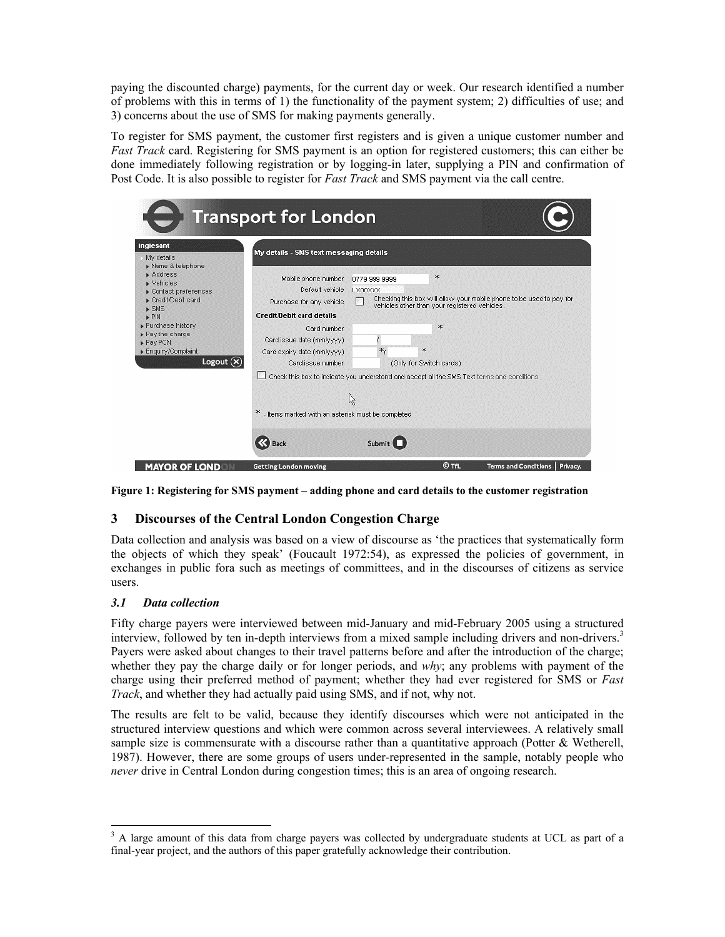paying the discounted charge) payments, for the current day or week. Our research identified a number of problems with this in terms of 1) the functionality of the payment system; 2) difficulties of use; and 3) concerns about the use of SMS for making payments generally.

To register for SMS payment, the customer first registers and is given a unique customer number and *Fast Track* card. Registering for SMS payment is an option for registered customers; this can either be done immediately following registration or by logging-in later, supplying a PIN and confirmation of Post Code. It is also possible to register for *Fast Track* and SMS payment via the call centre.

| Inglesant<br>My details<br>Name & telephone<br>$\blacktriangleright$ Address<br>$\blacktriangleright$ Vehicles<br>$\triangleright$ Contact preferences<br>Credit/Debit card<br>$\triangleright$ SMS<br>$\triangleright$ PIN<br>Purchase history<br>Pay the charge<br>Pay PCN<br>Enquiry/Complaint<br>Logout $(x)$ | My details - SMS text messaging details                                                                                                                                                               |                                     |  |                                                                                                                                                                          |
|-------------------------------------------------------------------------------------------------------------------------------------------------------------------------------------------------------------------------------------------------------------------------------------------------------------------|-------------------------------------------------------------------------------------------------------------------------------------------------------------------------------------------------------|-------------------------------------|--|--------------------------------------------------------------------------------------------------------------------------------------------------------------------------|
|                                                                                                                                                                                                                                                                                                                   | Mobile phone number<br>Default vehicle<br>Purchase for any vehicle<br><b>Credit/Debit card details</b><br>Card number<br>Card issue date (mm/yyyy)<br>Card expiry date (mm/yyyy)<br>Card issue number | 0779 999 9999<br>LX00XXX<br>$*_{1}$ |  | $\star$<br>Checking this box will allow your mobile phone to be used to pay for<br>vehicles other than your registered vehicles.<br>эk.<br>×.<br>(Only for Switch cards) |
|                                                                                                                                                                                                                                                                                                                   | * - Items marked with an asterisk must be completed<br><b>Back</b>                                                                                                                                    | ん<br>Submit                         |  | Check this box to indicate you understand and accept all the SMS Text terms and conditions                                                                               |

**Figure 1: Registering for SMS payment – adding phone and card details to the customer registration** 

# **3 Discourses of the Central London Congestion Charge**

Data collection and analysis was based on a view of discourse as 'the practices that systematically form the objects of which they speak' (Foucault 1972:54), as expressed the policies of government, in exchanges in public fora such as meetings of committees, and in the discourses of citizens as service users.

# *3.1 Data collection*

-

Fifty charge payers were interviewed between mid-January and mid-February 2005 using a structured interview, followed by ten in-depth interviews from a mixed sample including drivers and non-drivers.<sup>3</sup> Payers were asked about changes to their travel patterns before and after the introduction of the charge; whether they pay the charge daily or for longer periods, and *why*; any problems with payment of the charge using their preferred method of payment; whether they had ever registered for SMS or *Fast Track*, and whether they had actually paid using SMS, and if not, why not.

The results are felt to be valid, because they identify discourses which were not anticipated in the structured interview questions and which were common across several interviewees. A relatively small sample size is commensurate with a discourse rather than a quantitative approach (Potter & Wetherell, 1987). However, there are some groups of users under-represented in the sample, notably people who *never* drive in Central London during congestion times; this is an area of ongoing research.

<sup>&</sup>lt;sup>3</sup> A large amount of this data from charge payers was collected by undergraduate students at UCL as part of a final-year project, and the authors of this paper gratefully acknowledge their contribution.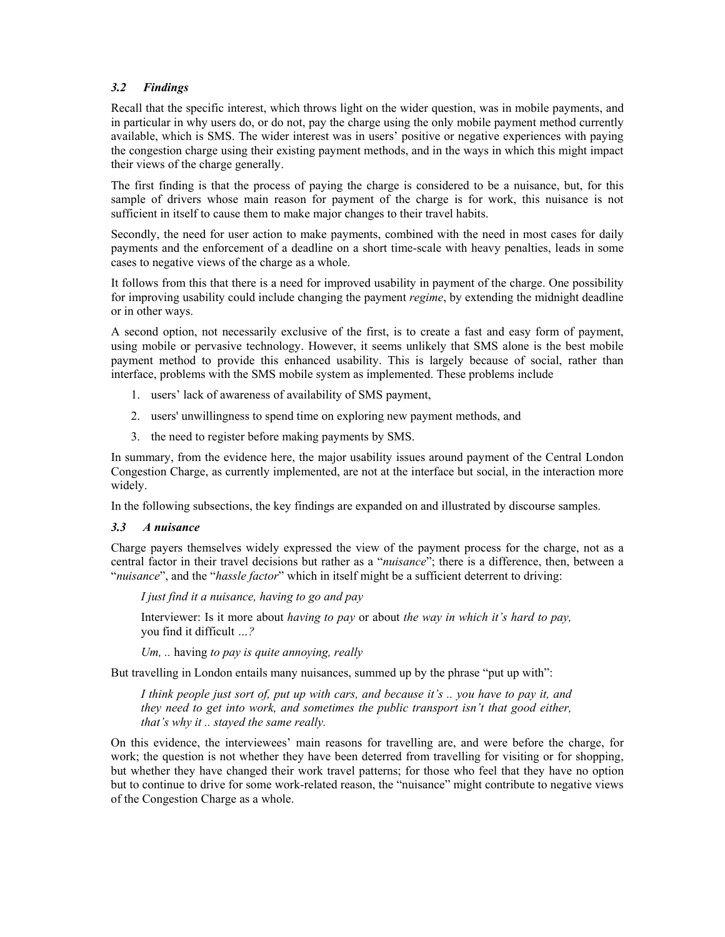# *3.2 Findings*

Recall that the specific interest, which throws light on the wider question, was in mobile payments, and in particular in why users do, or do not, pay the charge using the only mobile payment method currently available, which is SMS. The wider interest was in users' positive or negative experiences with paying the congestion charge using their existing payment methods, and in the ways in which this might impact their views of the charge generally.

The first finding is that the process of paying the charge is considered to be a nuisance, but, for this sample of drivers whose main reason for payment of the charge is for work, this nuisance is not sufficient in itself to cause them to make major changes to their travel habits.

Secondly, the need for user action to make payments, combined with the need in most cases for daily payments and the enforcement of a deadline on a short time-scale with heavy penalties, leads in some cases to negative views of the charge as a whole.

It follows from this that there is a need for improved usability in payment of the charge. One possibility for improving usability could include changing the payment *regime*, by extending the midnight deadline or in other ways.

A second option, not necessarily exclusive of the first, is to create a fast and easy form of payment, using mobile or pervasive technology. However, it seems unlikely that SMS alone is the best mobile payment method to provide this enhanced usability. This is largely because of social, rather than interface, problems with the SMS mobile system as implemented. These problems include

- 1. users' lack of awareness of availability of SMS payment,
- 2. users' unwillingness to spend time on exploring new payment methods, and
- 3. the need to register before making payments by SMS.

In summary, from the evidence here, the major usability issues around payment of the Central London Congestion Charge, as currently implemented, are not at the interface but social, in the interaction more widely.

In the following subsections, the key findings are expanded on and illustrated by discourse samples.

#### *3.3 A nuisance*

Charge payers themselves widely expressed the view of the payment process for the charge, not as a central factor in their travel decisions but rather as a "*nuisance*"; there is a difference, then, between a "*nuisance*", and the "*hassle factor*" which in itself might be a sufficient deterrent to driving:

*I just find it a nuisance, having to go and pay* 

Interviewer: Is it more about *having to pay* or about *the way in which it's hard to pay,* you find it difficult *…?* 

*Um, ..* having *to pay is quite annoying, really* 

But travelling in London entails many nuisances, summed up by the phrase "put up with":

*I think people just sort of, put up with cars, and because it's .. you have to pay it, and they need to get into work, and sometimes the public transport isn't that good either, that's why it .. stayed the same really.* 

On this evidence, the interviewees' main reasons for travelling are, and were before the charge, for work; the question is not whether they have been deterred from travelling for visiting or for shopping, but whether they have changed their work travel patterns; for those who feel that they have no option but to continue to drive for some work-related reason, the "nuisance" might contribute to negative views of the Congestion Charge as a whole.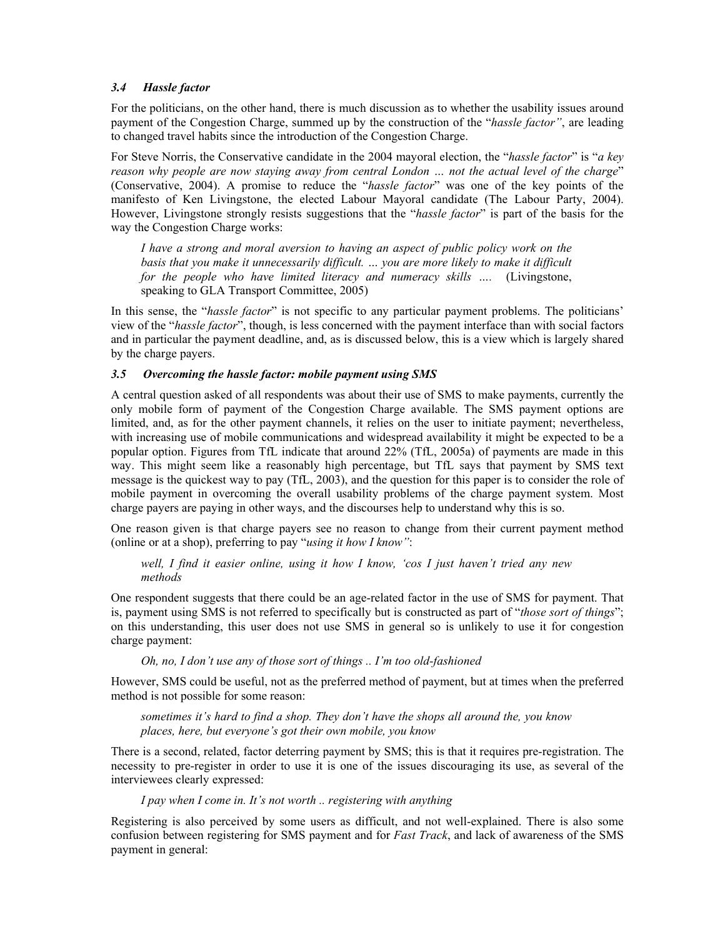#### *3.4 Hassle factor*

For the politicians, on the other hand, there is much discussion as to whether the usability issues around payment of the Congestion Charge, summed up by the construction of the "*hassle factor"*, are leading to changed travel habits since the introduction of the Congestion Charge.

For Steve Norris, the Conservative candidate in the 2004 mayoral election, the "*hassle factor*" is "*a key reason why people are now staying away from central London … not the actual level of the charge*" (Conservative, 2004). A promise to reduce the "*hassle factor*" was one of the key points of the manifesto of Ken Livingstone, the elected Labour Mayoral candidate (The Labour Party, 2004). However, Livingstone strongly resists suggestions that the "*hassle factor*" is part of the basis for the way the Congestion Charge works:

*I have a strong and moral aversion to having an aspect of public policy work on the* basis that you make it unnecessarily difficult. ... you are more likely to make it difficult *for the people who have limited literacy and numeracy skills ….* (Livingstone, speaking to GLA Transport Committee, 2005)

In this sense, the "*hassle factor*" is not specific to any particular payment problems. The politicians' view of the "*hassle factor*", though, is less concerned with the payment interface than with social factors and in particular the payment deadline, and, as is discussed below, this is a view which is largely shared by the charge payers.

### *3.5 Overcoming the hassle factor: mobile payment using SMS*

A central question asked of all respondents was about their use of SMS to make payments, currently the only mobile form of payment of the Congestion Charge available. The SMS payment options are limited, and, as for the other payment channels, it relies on the user to initiate payment; nevertheless, with increasing use of mobile communications and widespread availability it might be expected to be a popular option. Figures from TfL indicate that around 22% (TfL, 2005a) of payments are made in this way. This might seem like a reasonably high percentage, but TfL says that payment by SMS text message is the quickest way to pay (TfL, 2003), and the question for this paper is to consider the role of mobile payment in overcoming the overall usability problems of the charge payment system. Most charge payers are paying in other ways, and the discourses help to understand why this is so.

One reason given is that charge payers see no reason to change from their current payment method (online or at a shop), preferring to pay "*using it how I know"*:

*well, I find it easier online, using it how I know, 'cos I just haven't tried any new methods* 

One respondent suggests that there could be an age-related factor in the use of SMS for payment. That is, payment using SMS is not referred to specifically but is constructed as part of "*those sort of things*"; on this understanding, this user does not use SMS in general so is unlikely to use it for congestion charge payment:

*Oh, no, I don't use any of those sort of things .. I'm too old-fashioned*

However, SMS could be useful, not as the preferred method of payment, but at times when the preferred method is not possible for some reason:

*sometimes it's hard to find a shop. They don't have the shops all around the, you know places, here, but everyone's got their own mobile, you know* 

There is a second, related, factor deterring payment by SMS; this is that it requires pre-registration. The necessity to pre-register in order to use it is one of the issues discouraging its use, as several of the interviewees clearly expressed:

#### *I pay when I come in. It's not worth .. registering with anything*

Registering is also perceived by some users as difficult, and not well-explained. There is also some confusion between registering for SMS payment and for *Fast Track*, and lack of awareness of the SMS payment in general: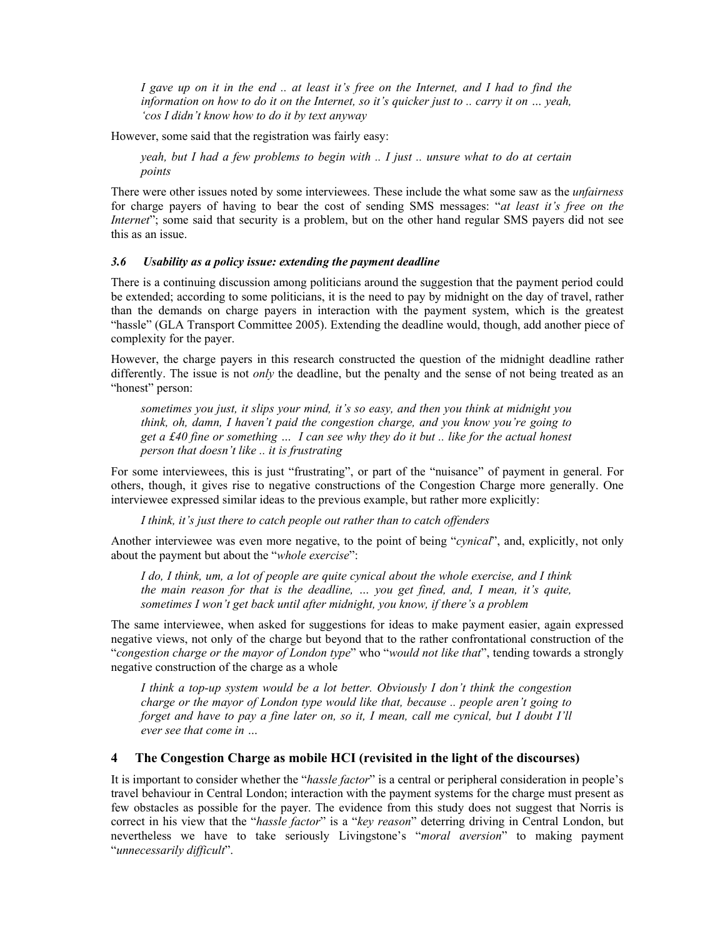*I gave up on it in the end .. at least it's free on the Internet, and I had to find the information on how to do it on the Internet, so it's quicker just to .. carry it on … yeah, 'cos I didn't know how to do it by text anyway* 

However, some said that the registration was fairly easy:

*yeah, but I had a few problems to begin with .. I just .. unsure what to do at certain points* 

There were other issues noted by some interviewees. These include the what some saw as the *unfairness* for charge payers of having to bear the cost of sending SMS messages: "*at least it's free on the Internet*"; some said that security is a problem, but on the other hand regular SMS payers did not see this as an issue.

#### *3.6 Usability as a policy issue: extending the payment deadline*

There is a continuing discussion among politicians around the suggestion that the payment period could be extended; according to some politicians, it is the need to pay by midnight on the day of travel, rather than the demands on charge payers in interaction with the payment system, which is the greatest "hassle" (GLA Transport Committee 2005). Extending the deadline would, though, add another piece of complexity for the payer.

However, the charge payers in this research constructed the question of the midnight deadline rather differently. The issue is not *only* the deadline, but the penalty and the sense of not being treated as an "honest" person:

*sometimes you just, it slips your mind, it's so easy, and then you think at midnight you think, oh, damn, I haven't paid the congestion charge, and you know you're going to get a £40 fine or something … I can see why they do it but .. like for the actual honest person that doesn't like .. it is frustrating* 

For some interviewees, this is just "frustrating", or part of the "nuisance" of payment in general. For others, though, it gives rise to negative constructions of the Congestion Charge more generally. One interviewee expressed similar ideas to the previous example, but rather more explicitly:

*I think, it's just there to catch people out rather than to catch offenders* 

Another interviewee was even more negative, to the point of being "*cynical*", and, explicitly, not only about the payment but about the "*whole exercise*":

*I do, I think, um, a lot of people are quite cynical about the whole exercise, and I think the main reason for that is the deadline, … you get fined, and, I mean, it's quite, sometimes I won't get back until after midnight, you know, if there's a problem* 

The same interviewee, when asked for suggestions for ideas to make payment easier, again expressed negative views, not only of the charge but beyond that to the rather confrontational construction of the "*congestion charge or the mayor of London type*" who "*would not like that*", tending towards a strongly negative construction of the charge as a whole

*I think a top-up system would be a lot better. Obviously I don't think the congestion charge or the mayor of London type would like that, because .. people aren't going to forget and have to pay a fine later on, so it, I mean, call me cynical, but I doubt I'll ever see that come in …* 

### **4 The Congestion Charge as mobile HCI (revisited in the light of the discourses)**

It is important to consider whether the "*hassle factor*" is a central or peripheral consideration in people's travel behaviour in Central London; interaction with the payment systems for the charge must present as few obstacles as possible for the payer. The evidence from this study does not suggest that Norris is correct in his view that the "*hassle factor*" is a "*key reason*" deterring driving in Central London, but nevertheless we have to take seriously Livingstone's "*moral aversion*" to making payment "*unnecessarily difficult*".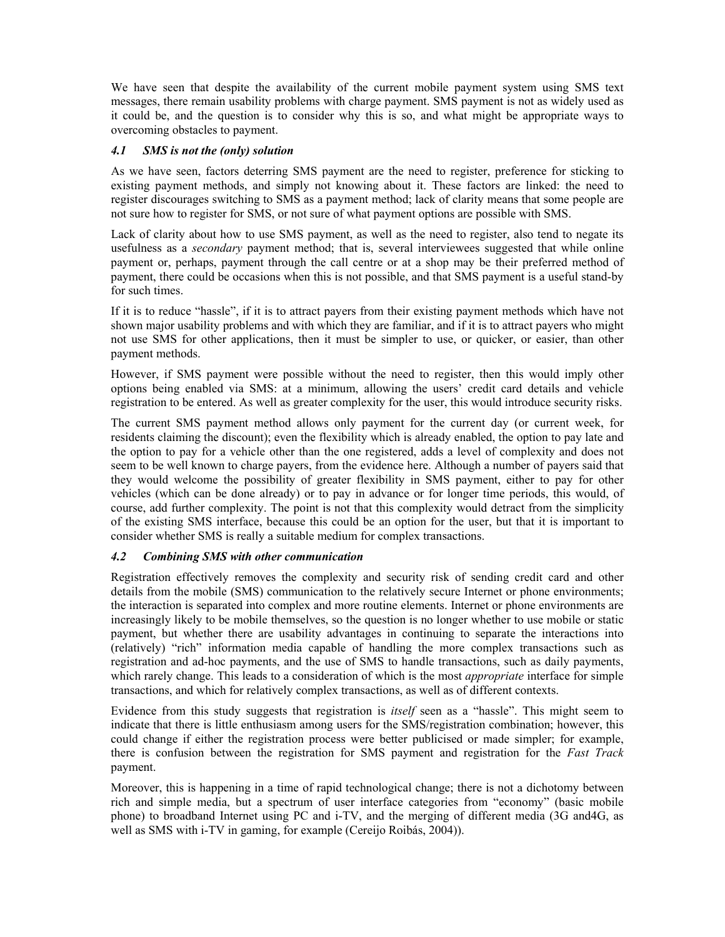We have seen that despite the availability of the current mobile payment system using SMS text messages, there remain usability problems with charge payment. SMS payment is not as widely used as it could be, and the question is to consider why this is so, and what might be appropriate ways to overcoming obstacles to payment.

### *4.1 SMS is not the (only) solution*

As we have seen, factors deterring SMS payment are the need to register, preference for sticking to existing payment methods, and simply not knowing about it. These factors are linked: the need to register discourages switching to SMS as a payment method; lack of clarity means that some people are not sure how to register for SMS, or not sure of what payment options are possible with SMS.

Lack of clarity about how to use SMS payment, as well as the need to register, also tend to negate its usefulness as a *secondary* payment method; that is, several interviewees suggested that while online payment or, perhaps, payment through the call centre or at a shop may be their preferred method of payment, there could be occasions when this is not possible, and that SMS payment is a useful stand-by for such times.

If it is to reduce "hassle", if it is to attract payers from their existing payment methods which have not shown major usability problems and with which they are familiar, and if it is to attract payers who might not use SMS for other applications, then it must be simpler to use, or quicker, or easier, than other payment methods.

However, if SMS payment were possible without the need to register, then this would imply other options being enabled via SMS: at a minimum, allowing the users' credit card details and vehicle registration to be entered. As well as greater complexity for the user, this would introduce security risks.

The current SMS payment method allows only payment for the current day (or current week, for residents claiming the discount); even the flexibility which is already enabled, the option to pay late and the option to pay for a vehicle other than the one registered, adds a level of complexity and does not seem to be well known to charge payers, from the evidence here. Although a number of payers said that they would welcome the possibility of greater flexibility in SMS payment, either to pay for other vehicles (which can be done already) or to pay in advance or for longer time periods, this would, of course, add further complexity. The point is not that this complexity would detract from the simplicity of the existing SMS interface, because this could be an option for the user, but that it is important to consider whether SMS is really a suitable medium for complex transactions.

#### *4.2 Combining SMS with other communication*

Registration effectively removes the complexity and security risk of sending credit card and other details from the mobile (SMS) communication to the relatively secure Internet or phone environments; the interaction is separated into complex and more routine elements. Internet or phone environments are increasingly likely to be mobile themselves, so the question is no longer whether to use mobile or static payment, but whether there are usability advantages in continuing to separate the interactions into (relatively) "rich" information media capable of handling the more complex transactions such as registration and ad-hoc payments, and the use of SMS to handle transactions, such as daily payments, which rarely change. This leads to a consideration of which is the most *appropriate* interface for simple transactions, and which for relatively complex transactions, as well as of different contexts.

Evidence from this study suggests that registration is *itself* seen as a "hassle". This might seem to indicate that there is little enthusiasm among users for the SMS/registration combination; however, this could change if either the registration process were better publicised or made simpler; for example, there is confusion between the registration for SMS payment and registration for the *Fast Track* payment.

Moreover, this is happening in a time of rapid technological change; there is not a dichotomy between rich and simple media, but a spectrum of user interface categories from "economy" (basic mobile phone) to broadband Internet using PC and i-TV, and the merging of different media (3G and4G, as well as SMS with i-TV in gaming, for example (Cereijo Roibás, 2004)).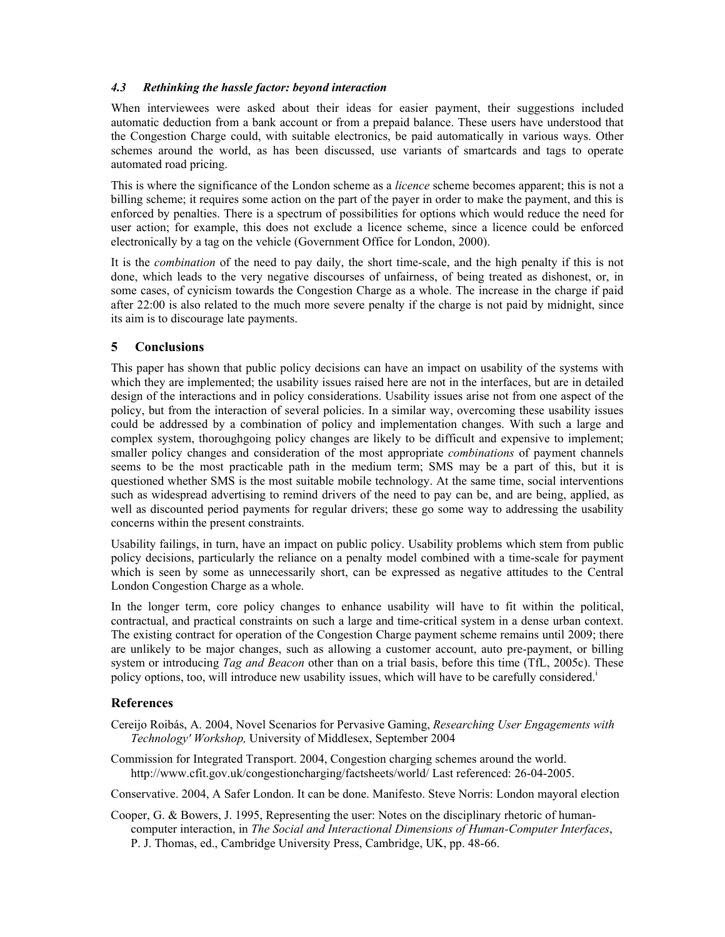### *4.3 Rethinking the hassle factor: beyond interaction*

When interviewees were asked about their ideas for easier payment, their suggestions included automatic deduction from a bank account or from a prepaid balance. These users have understood that the Congestion Charge could, with suitable electronics, be paid automatically in various ways. Other schemes around the world, as has been discussed, use variants of smartcards and tags to operate automated road pricing.

This is where the significance of the London scheme as a *licence* scheme becomes apparent; this is not a billing scheme; it requires some action on the part of the payer in order to make the payment, and this is enforced by penalties. There is a spectrum of possibilities for options which would reduce the need for user action; for example, this does not exclude a licence scheme, since a licence could be enforced electronically by a tag on the vehicle (Government Office for London, 2000).

It is the *combination* of the need to pay daily, the short time-scale, and the high penalty if this is not done, which leads to the very negative discourses of unfairness, of being treated as dishonest, or, in some cases, of cynicism towards the Congestion Charge as a whole. The increase in the charge if paid after 22:00 is also related to the much more severe penalty if the charge is not paid by midnight, since its aim is to discourage late payments.

### **5 Conclusions**

This paper has shown that public policy decisions can have an impact on usability of the systems with which they are implemented; the usability issues raised here are not in the interfaces, but are in detailed design of the interactions and in policy considerations. Usability issues arise not from one aspect of the policy, but from the interaction of several policies. In a similar way, overcoming these usability issues could be addressed by a combination of policy and implementation changes. With such a large and complex system, thoroughgoing policy changes are likely to be difficult and expensive to implement; smaller policy changes and consideration of the most appropriate *combinations* of payment channels seems to be the most practicable path in the medium term; SMS may be a part of this, but it is questioned whether SMS is the most suitable mobile technology. At the same time, social interventions such as widespread advertising to remind drivers of the need to pay can be, and are being, applied, as well as discounted period payments for regular drivers; these go some way to addressing the usability concerns within the present constraints.

Usability failings, in turn, have an impact on public policy. Usability problems which stem from public policy decisions, particularly the reliance on a penalty model combined with a time-scale for payment which is seen by some as unnecessarily short, can be expressed as negative attitudes to the Central London Congestion Charge as a whole.

In the longer term, core policy changes to enhance usability will have to fit within the political, contractual, and practical constraints on such a large and time-critical system in a dense urban context. The existing contract for operation of the Congestion Charge payment scheme remains until 2009; there are unlikely to be major changes, such as allowing a customer account, auto pre-payment, or billing system or introducing *Tag and Beacon* other than on a trial basis, before this time (TfL, 2005c). These policy options, too, will introduce new usability issues, which will have to be carefully considered.<sup>1</sup>

# **References**

- Cereijo Roibás, A. 2004, Novel Scenarios for Pervasive Gaming, *Researching User Engagements with Technology' Workshop,* University of Middlesex, September 2004
- Commission for Integrated Transport. 2004, Congestion charging schemes around the world. http://www.cfit.gov.uk/congestioncharging/factsheets/world/ Last referenced: 26-04-2005.

Conservative. 2004, A Safer London. It can be done. Manifesto. Steve Norris: London mayoral election

Cooper, G. & Bowers, J. 1995, Representing the user: Notes on the disciplinary rhetoric of humancomputer interaction, in *The Social and Interactional Dimensions of Human-Computer Interfaces*, P. J. Thomas, ed., Cambridge University Press, Cambridge, UK, pp. 48-66.